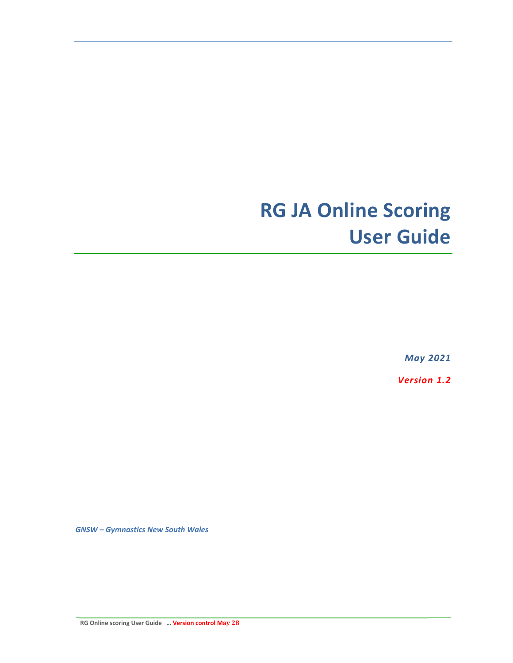# **RG JA Online Scoring User Guide**

*May 2021*

*Version 1.2*

*GNSW – Gymnastics New South Wales* 

**RG Online scoring User Guide … Version control May 28**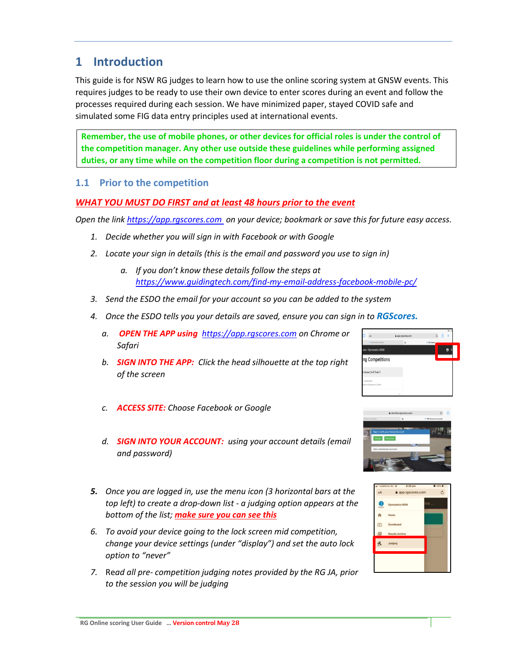# **1 Introduction**

This guide is for NSW RG judges to learn how to use the online scoring system at GNSW events. This requires judges to be ready to use their own device to enter scores during an event and follow the processes required during each session. We have minimized paper, stayed COVID safe and simulated some FIG data entry principles used at international events.

**Remember, the use of mobile phones, or other devices for official roles is under the control of the competition manager. Any other use outside these guidelines while performing assigned duties, or any time while on the competition floor during a competition is not permitted.**

### **1.1 Prior to the competition**

### *WHAT YOU MUST DO FIRST and at least 48 hours prior to the event*

*Open the lin[k https://app.rgscores.com](https://app.rgscores.com/) on your device; bookmark or save this for future easy access.*

- *1. Decide whether you will sign in with Facebook or with Google*
- *2. Locate your sign in details (this is the email and password you use to sign in)*
	- *a. If you don't know these details follow the steps at <https://www.guidingtech.com/find-my-email-address-facebook-mobile-pc/>*
- *3. Send the ESDO the email for your account so you can be added to the system*
- *4. Once the ESDO tells you your details are saved, ensure you can sign in to RGScores.*
	- *a. OPEN THE APP using [https://app.rgscores.com](https://app.rgscores.com/) on Chrome or Safari*
	- *b. SIGN INTO THE APP: Click the head silhouette at the top right of the screen*
	- *c. ACCESS SITE: Choose Facebook or Google*
	- *d. SIGN INTO YOUR ACCOUNT: using your account details (email and password)*
- *5. Once you are logged in, use the menu icon (3 horizontal bars at the top left) to create a drop-down list - a judging option appears at the bottom of the list; make sure you can see this*
- *6. To avoid your device going to the lock screen mid competition, change your device settings (under "display") and set the auto lock option to "never"*
- *7.* Re*ad all pre- competition judging notes provided by the RG JA, prior to the session you will be judging*





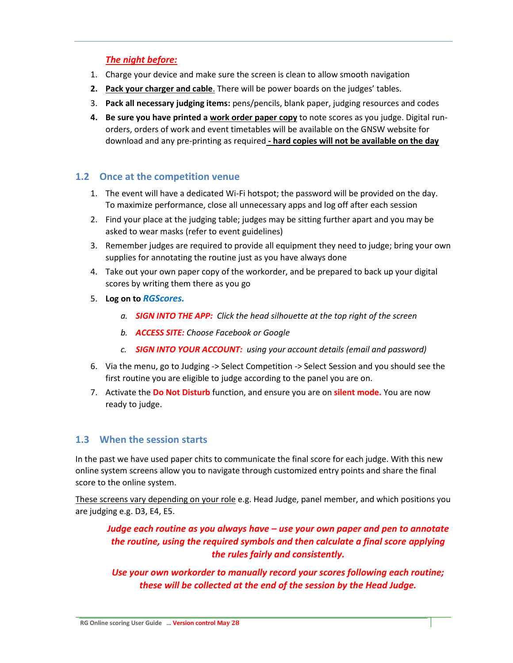# *The night before:*

- 1. Charge your device and make sure the screen is clean to allow smooth navigation
- **2. Pack your charger and cable**. There will be power boards on the judges' tables.
- 3. **Pack all necessary judging items:** pens/pencils, blank paper, judging resources and codes
- **4. Be sure you have printed a work order paper copy** to note scores as you judge. Digital runorders, orders of work and event timetables will be available on the GNSW website for download and any pre-printing as required **- hard copies will not be available on the day**

## **1.2 Once at the competition venue**

- 1. The event will have a dedicated Wi-Fi hotspot; the password will be provided on the day. To maximize performance, close all unnecessary apps and log off after each session
- 2. Find your place at the judging table; judges may be sitting further apart and you may be asked to wear masks (refer to event guidelines)
- 3. Remember judges are required to provide all equipment they need to judge; bring your own supplies for annotating the routine just as you have always done
- 4. Take out your own paper copy of the workorder, and be prepared to back up your digital scores by writing them there as you go
- 5. **Log on to** *RGScores.* 
	- *a. SIGN INTO THE APP: Click the head silhouette at the top right of the screen*
	- *b. ACCESS SITE: Choose Facebook or Google*
	- *c. SIGN INTO YOUR ACCOUNT: using your account details (email and password)*
- 6. Via the menu, go to Judging -> Select Competition -> Select Session and you should see the first routine you are eligible to judge according to the panel you are on.
- 7. Activate the **Do Not Disturb** function, and ensure you are on **silent mode.** You are now ready to judge.

#### **1.3 When the session starts**

In the past we have used paper chits to communicate the final score for each judge. With this new online system screens allow you to navigate through customized entry points and share the final score to the online system.

These screens vary depending on your role e.g. Head Judge, panel member, and which positions you are judging e.g. D3, E4, E5.

*Judge each routine as you always have – use your own paper and pen to annotate the routine, using the required symbols and then calculate a final score applying the rules fairly and consistently.*

*Use your own workorder to manually record your scores following each routine; these will be collected at the end of the session by the Head Judge.*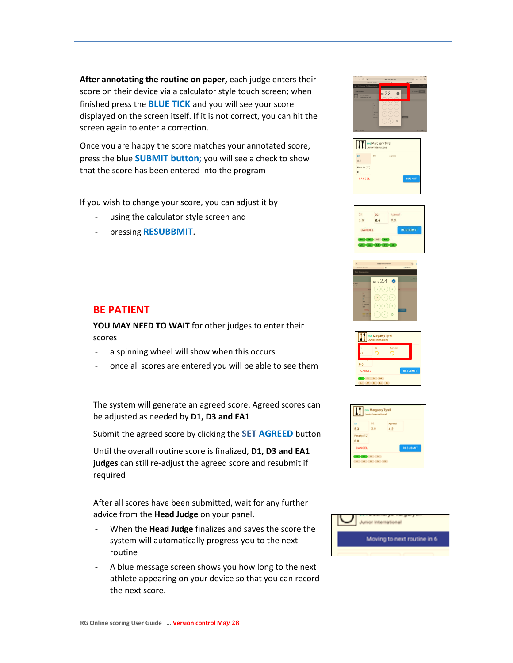**After annotating the routine on paper,** each judge enters their score on their device via a calculator style touch screen; when finished press the **BLUE TICK** and you will see your score displayed on the screen itself. If it is not correct, you can hit the screen again to enter a correction.

Once you are happy the score matches your annotated score, press the blue **SUBMIT button**; you will see a check to show that the score has been entered into the program

If you wish to change your score, you can adjust it by

- using the calculator style screen and
- pressing **RESUBBMIT**.

# **BE PATIENT**

**YOU MAY NEED TO WAIT** for other judges to enter their scores

- a spinning wheel will show when this occurs
- once all scores are entered you will be able to see them

The system will generate an agreed score. Agreed scores can be adjusted as needed by **D1, D3 and EA1**

Submit the agreed score by clicking the **SET AGREED** button

Until the overall routine score is finalized, **D1, D3 and EA1 judges** can still re-adjust the agreed score and resubmit if required

After all scores have been submitted, wait for any further advice from the **Head Judge** on your panel.

- When the **Head Judge** finalizes and saves the score the system will automatically progress you to the next routine
- A blue message screen shows you how long to the next athlete appearing on your device so that you can record the next score.